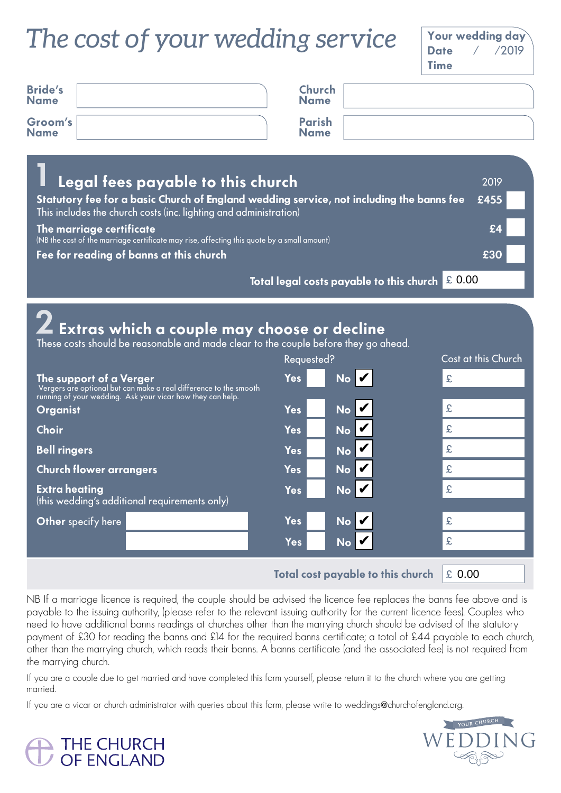## *The cost of your wedding service*  $\int_{\text{Date}}^{\text{Your}}$



YOUR CHURCH

| <b>Bride's</b><br><b>Name</b>                                                                                                                                                                                      |                                                                                                                        | Church<br><b>Name</b>        |                                          |        |  |
|--------------------------------------------------------------------------------------------------------------------------------------------------------------------------------------------------------------------|------------------------------------------------------------------------------------------------------------------------|------------------------------|------------------------------------------|--------|--|
| Groom's<br><b>Name</b>                                                                                                                                                                                             |                                                                                                                        | <b>Parish</b><br><b>Name</b> |                                          |        |  |
| Legal fees payable to this church<br>2019<br>Statutory fee for a basic Church of England wedding service, not including the banns fee<br>£455<br>This includes the church costs (inc. lighting and administration) |                                                                                                                        |                              |                                          |        |  |
|                                                                                                                                                                                                                    | The marriage certificate<br>(NB the cost of the marriage certificate may rise, affecting this quote by a small amount) |                              |                                          | £4     |  |
|                                                                                                                                                                                                                    | Fee for reading of banns at this church                                                                                |                              |                                          | £30    |  |
|                                                                                                                                                                                                                    |                                                                                                                        |                              | Total legal costs payable to this church | £ 0.00 |  |

| Z Extras which a couple may choose or decline<br>These costs should be reasonable and made clear to the couple before they go ahead.                       |                                   |                     |  |  |  |  |
|------------------------------------------------------------------------------------------------------------------------------------------------------------|-----------------------------------|---------------------|--|--|--|--|
|                                                                                                                                                            | Requested?                        | Cost at this Church |  |  |  |  |
| The support of a Verger<br>Vergers are optional but can make a real difference to the smooth<br>running of your wedding. Ask your vicar how they can help. | NoV<br><b>Yes</b>                 | £                   |  |  |  |  |
| <b>Organist</b>                                                                                                                                            | No V<br><b>Yes</b>                | £                   |  |  |  |  |
| <b>Choir</b>                                                                                                                                               | No V<br><b>Yes</b>                | £                   |  |  |  |  |
| <b>Bell ringers</b>                                                                                                                                        | No V<br><b>Yes</b>                | £                   |  |  |  |  |
| <b>Church flower arrangers</b>                                                                                                                             | No V<br><b>Yes</b>                | £                   |  |  |  |  |
| <b>Extra heating</b><br>(this wedding's additional requirements only)                                                                                      | $No$ $ V$<br><b>Yes</b>           | £                   |  |  |  |  |
| Other specify here                                                                                                                                         | <b>Yes</b><br>No V                | £                   |  |  |  |  |
|                                                                                                                                                            | No L<br><b>Yes</b>                | £                   |  |  |  |  |
|                                                                                                                                                            | Total cost payable to this church | £ 0.00              |  |  |  |  |

NB If a marriage licence is required, the couple should be advised the licence fee replaces the banns fee above and is payable to the issuing authority, (please refer to the relevant issuing authority for the current licence fees). Couples who need to have additional banns readings at churches other than the marrying church should be advised of the statutory payment of £30 for reading the banns and £14 for the required banns certificate; a total of £44 payable to each church, other than the marrying church, which reads their banns. A banns certificate (and the associated fee) is not required from the marrying church.

If you are a couple due to get married and have completed this form yourself, please return it to the church where you are getting married.

If you are a vicar or church administrator with queries about this form, please write to weddings@churchofengland.org.